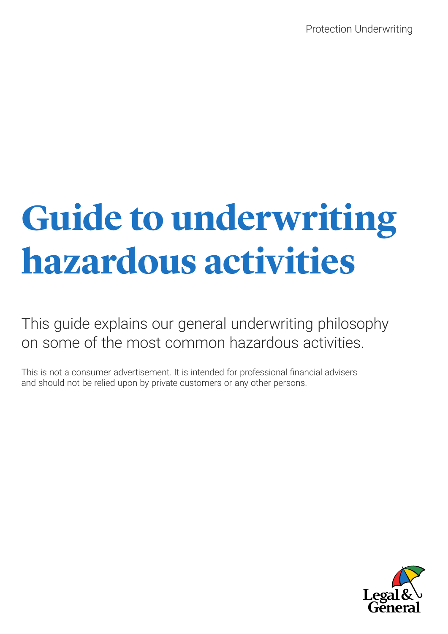# **Guide to underwriting hazardous activities**

This guide explains our general underwriting philosophy on some of the most common hazardous activities.

This is not a consumer advertisement. It is intended for professional financial advisers and should not be relied upon by private customers or any other persons.

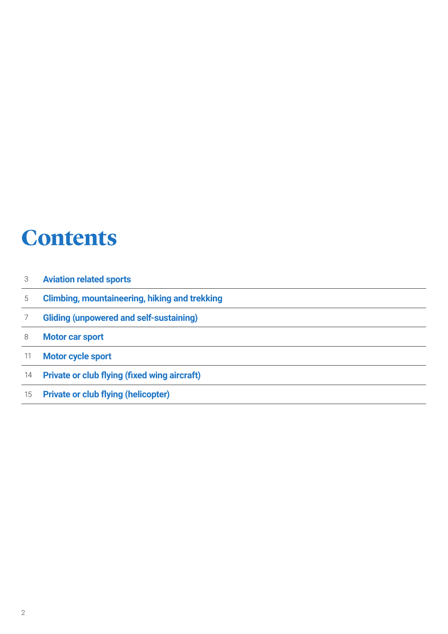### **Contents**

| 3  | <b>Aviation related sports</b>                       |
|----|------------------------------------------------------|
| 5  | <b>Climbing, mountaineering, hiking and trekking</b> |
|    | <b>Gliding (unpowered and self-sustaining)</b>       |
| 8  | <b>Motor car sport</b>                               |
| 11 | <b>Motor cycle sport</b>                             |
| 14 | <b>Private or club flying (fixed wing aircraft)</b>  |
| 15 | <b>Private or club flying (helicopter)</b>           |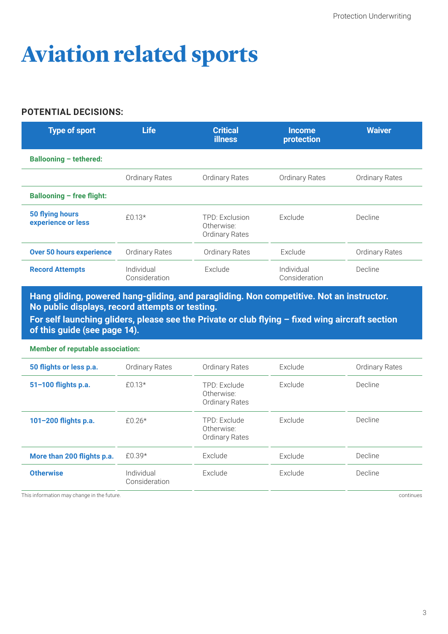# **Aviation related sports**

#### **POTENTIAL DECISIONS:**

| <b>Type of sport</b>                  | <b>Life</b>                 | <b>Critical</b><br><b>illness</b>                     | <b>Income</b><br>protection | <b>Waiver</b>         |
|---------------------------------------|-----------------------------|-------------------------------------------------------|-----------------------------|-----------------------|
| <b>Ballooning - tethered:</b>         |                             |                                                       |                             |                       |
|                                       | <b>Ordinary Rates</b>       | <b>Ordinary Rates</b>                                 | <b>Ordinary Rates</b>       | <b>Ordinary Rates</b> |
| <b>Ballooning - free flight:</b>      |                             |                                                       |                             |                       |
| 50 flying hours<br>experience or less | $£0.13*$                    | TPD: Exclusion<br>Otherwise:<br><b>Ordinary Rates</b> | Exclude                     | Decline               |
| <b>Over 50 hours experience</b>       | <b>Ordinary Rates</b>       | <b>Ordinary Rates</b>                                 | Exclude                     | <b>Ordinary Rates</b> |
| <b>Record Attempts</b>                | Individual<br>Consideration | Exclude                                               | Individual<br>Consideration | Decline               |

**Hang gliding, powered hang-gliding, and paragliding. Non competitive. Not an instructor. No public displays, record attempts or testing. For self launching gliders, please see the Private or club flying – fixed wing aircraft section of this guide (see page 14).**

**Member of reputable association:**

| 50 flights or less p.a.    | Ordinary Rates              | Ordinary Rates                                      | Exclude | <b>Ordinary Rates</b> |
|----------------------------|-----------------------------|-----------------------------------------------------|---------|-----------------------|
| 51-100 flights p.a.        | £0.13*                      | TPD: Exclude<br>Otherwise:<br><b>Ordinary Rates</b> | Exclude | Decline               |
| 101-200 flights p.a.       | £0.26*                      | TPD: Exclude<br>Otherwise:<br>Ordinary Rates        | Exclude | Decline               |
| More than 200 flights p.a. | £0.39*                      | Exclude                                             | Exclude | Decline               |
| <b>Otherwise</b>           | Individual<br>Consideration | Exclude                                             | Exclude | Decline               |

This information may change in the future. This information may change in the future.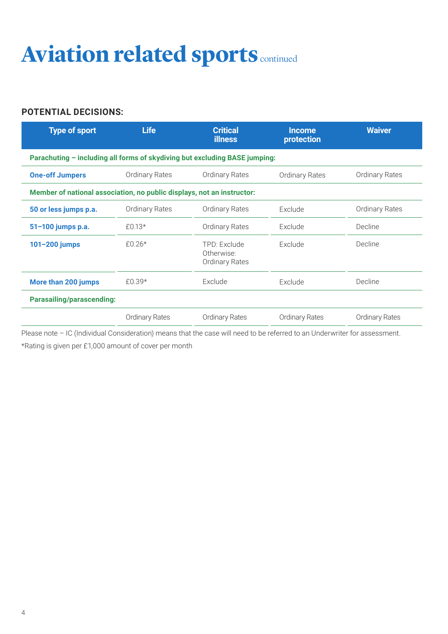# **Aviation related sports continued**

#### **POTENTIAL DECISIONS:**

| <b>Type of sport</b>                                                       | <b>Life</b>           | <b>Critical</b><br><b>illness</b>                   | <b>Income</b><br>protection | <b>Waiver</b>         |
|----------------------------------------------------------------------------|-----------------------|-----------------------------------------------------|-----------------------------|-----------------------|
| Parachuting - including all forms of skydiving but excluding BASE jumping: |                       |                                                     |                             |                       |
| <b>One-off Jumpers</b>                                                     | <b>Ordinary Rates</b> | <b>Ordinary Rates</b>                               | <b>Ordinary Rates</b>       | <b>Ordinary Rates</b> |
| Member of national association, no public displays, not an instructor:     |                       |                                                     |                             |                       |
| 50 or less jumps p.a.                                                      | <b>Ordinary Rates</b> | <b>Ordinary Rates</b>                               | Exclude                     | <b>Ordinary Rates</b> |
| 51-100 jumps p.a.                                                          | £0.13*                | <b>Ordinary Rates</b>                               | Exclude                     | Decline               |
| 101-200 jumps                                                              | £0.26*                | TPD: Exclude<br>Otherwise:<br><b>Ordinary Rates</b> | Exclude                     | Decline               |
| More than 200 jumps                                                        | £0.39*                | Exclude                                             | Exclude                     | Decline               |
| <b>Parasailing/parascending:</b>                                           |                       |                                                     |                             |                       |
|                                                                            | <b>Ordinary Rates</b> | <b>Ordinary Rates</b>                               | <b>Ordinary Rates</b>       | <b>Ordinary Rates</b> |

Please note - IC (Individual Consideration) means that the case will need to be referred to an Underwriter for assessment. \*Rating is given per £1,000 amount of cover per month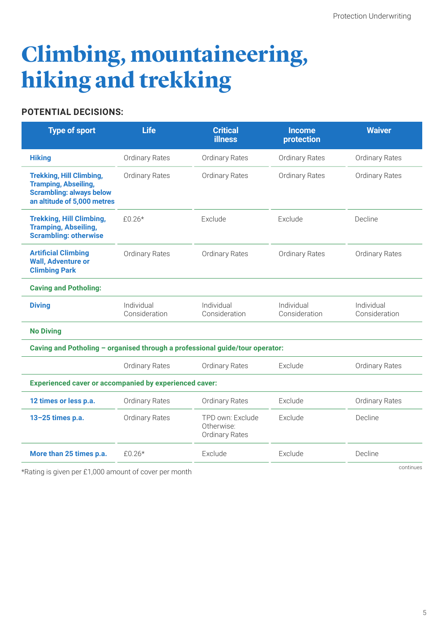### **Climbing, mountaineering, hiking and trekking**

#### **POTENTIAL DECISIONS:**

| <b>Type of sport</b>                                                                                                             | <b>Life</b>                 | <b>Critical</b><br><b>illness</b>                | <b>Income</b><br>protection | <b>Waiver</b>               |
|----------------------------------------------------------------------------------------------------------------------------------|-----------------------------|--------------------------------------------------|-----------------------------|-----------------------------|
| <b>Hiking</b>                                                                                                                    | <b>Ordinary Rates</b>       | <b>Ordinary Rates</b>                            | <b>Ordinary Rates</b>       | <b>Ordinary Rates</b>       |
| <b>Trekking, Hill Climbing,</b><br><b>Tramping, Abseiling,</b><br><b>Scrambling: always below</b><br>an altitude of 5,000 metres | <b>Ordinary Rates</b>       | <b>Ordinary Rates</b>                            | <b>Ordinary Rates</b>       | <b>Ordinary Rates</b>       |
| <b>Trekking, Hill Climbing,</b><br><b>Tramping, Abseiling,</b><br><b>Scrambling: otherwise</b>                                   | £0.26 $*$                   | Exclude                                          | Exclude                     | Decline                     |
| <b>Artificial Climbing</b><br><b>Wall, Adventure or</b><br><b>Climbing Park</b>                                                  | <b>Ordinary Rates</b>       | <b>Ordinary Rates</b>                            | <b>Ordinary Rates</b>       | <b>Ordinary Rates</b>       |
| <b>Caving and Potholing:</b>                                                                                                     |                             |                                                  |                             |                             |
| <b>Diving</b>                                                                                                                    | Individual<br>Consideration | Individual<br>Consideration                      | Individual<br>Consideration | Individual<br>Consideration |
| <b>No Diving</b>                                                                                                                 |                             |                                                  |                             |                             |
| Caving and Potholing - organised through a professional guide/tour operator:                                                     |                             |                                                  |                             |                             |
|                                                                                                                                  | <b>Ordinary Rates</b>       | Ordinary Rates                                   | Exclude                     | <b>Ordinary Rates</b>       |
| <b>Experienced caver or accompanied by experienced caver:</b>                                                                    |                             |                                                  |                             |                             |
| 12 times or less p.a.                                                                                                            | <b>Ordinary Rates</b>       | <b>Ordinary Rates</b>                            | Exclude                     | <b>Ordinary Rates</b>       |
| 13-25 times p.a.                                                                                                                 | <b>Ordinary Rates</b>       | TPD own: Exclude<br>Otherwise:<br>Ordinary Rates | Exclude                     | Decline                     |
| More than 25 times p.a.                                                                                                          | £0.26*                      | Exclude                                          | Exclude                     | Decline                     |
|                                                                                                                                  |                             |                                                  |                             | continues                   |

\*Rating is given per £1,000 amount of cover per month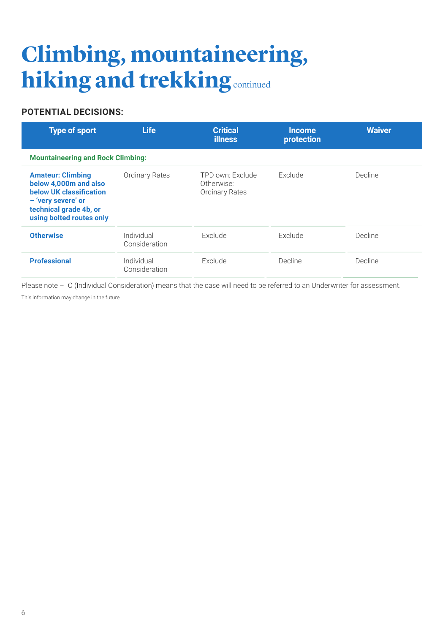## **Climbing, mountaineering, hiking and trekking** continued

#### **POTENTIAL DECISIONS:**

| <b>Type of sport</b>                                                                                                                                     | <b>Life</b>                 | <b>Critical</b><br><b>illness</b>                       | <b>Income</b><br>protection | <b>Waiver</b> |
|----------------------------------------------------------------------------------------------------------------------------------------------------------|-----------------------------|---------------------------------------------------------|-----------------------------|---------------|
| <b>Mountaineering and Rock Climbing:</b>                                                                                                                 |                             |                                                         |                             |               |
| <b>Amateur: Climbing</b><br>below 4,000m and also<br>below UK classification<br>- 'very severe' or<br>technical grade 4b, or<br>using bolted routes only | <b>Ordinary Rates</b>       | TPD own: Exclude<br>Otherwise:<br><b>Ordinary Rates</b> | Exclude                     | Decline       |
| <b>Otherwise</b>                                                                                                                                         | Individual<br>Consideration | Exclude                                                 | Exclude                     | Decline       |
| <b>Professional</b>                                                                                                                                      | Individual<br>Consideration | Exclude                                                 | Decline                     | Decline       |

Please note - IC (Individual Consideration) means that the case will need to be referred to an Underwriter for assessment.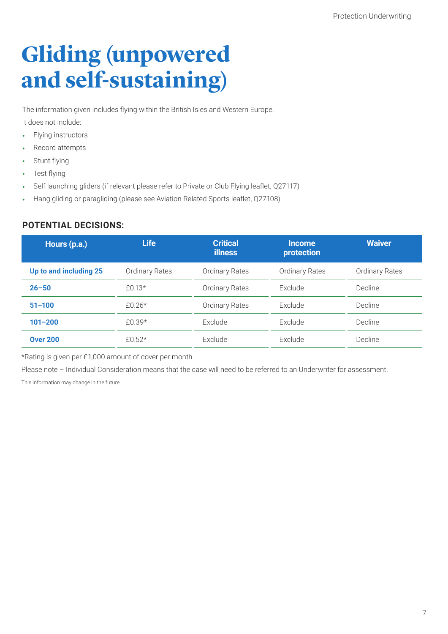## **Gliding (unpowered and self-sustaining)**

The information given includes flying within the British Isles and Western Europe.

It does not include:

- Flying instructors
- Record attempts
- Stunt flying
- Test flying
- Self launching gliders (if relevant please refer to Private or Club Flying leaflet, Q27117)
- Hang gliding or paragliding (please see Aviation Related Sports leaflet, Q27108)

#### **POTENTIAL DECISIONS:**

| Hours (p.a.)           | <b>Life</b>           | <b>Critical</b><br><b>illness</b> | <b>Income</b><br>protection | <b>Waiver</b>         |
|------------------------|-----------------------|-----------------------------------|-----------------------------|-----------------------|
| Up to and including 25 | <b>Ordinary Rates</b> | <b>Ordinary Rates</b>             | <b>Ordinary Rates</b>       | <b>Ordinary Rates</b> |
| $26 - 50$              | £0.13*                | <b>Ordinary Rates</b>             | Exclude                     | Decline               |
| $51 - 100$             | $f()$ 26*             | <b>Ordinary Rates</b>             | Exclude                     | Decline               |
| $101 - 200$            | £0.39*                | Exclude                           | Exclude                     | Decline               |
| <b>Over 200</b>        | £0.52 $*$             | Exclude                           | Exclude                     | Decline               |

\*Rating is given per £1,000 amount of cover per month

Please note - Individual Consideration means that the case will need to be referred to an Underwriter for assessment.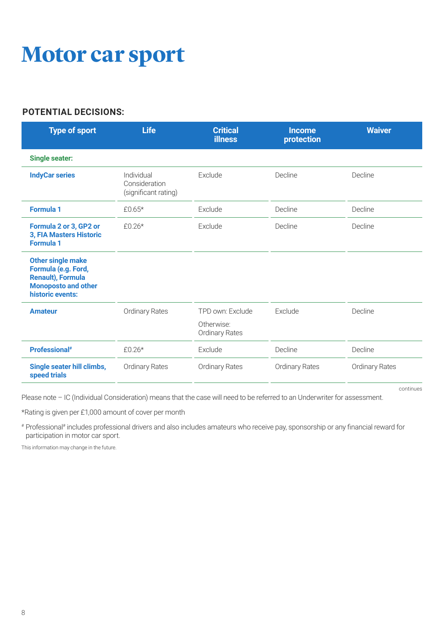### **Motor car sport**

#### **POTENTIAL DECISIONS:**

| <b>Type of sport</b>                                                                                                          | <b>Life</b>                                         | <b>Critical</b><br><b>illness</b>                       | <b>Income</b><br>protection | <b>Waiver</b>         |
|-------------------------------------------------------------------------------------------------------------------------------|-----------------------------------------------------|---------------------------------------------------------|-----------------------------|-----------------------|
| <b>Single seater:</b>                                                                                                         |                                                     |                                                         |                             |                       |
| <b>IndyCar series</b>                                                                                                         | Individual<br>Consideration<br>(significant rating) | Exclude                                                 | Decline                     | Decline               |
| <b>Formula 1</b>                                                                                                              | £0.65*                                              | Exclude                                                 | Decline                     | Decline               |
| Formula 2 or 3, GP2 or<br>3, FIA Masters Historic<br><b>Formula 1</b>                                                         | $£0.26*$                                            | Exclude                                                 | Decline                     | Decline               |
| <b>Other single make</b><br>Formula (e.g. Ford,<br><b>Renault), Formula</b><br><b>Monoposto and other</b><br>historic events: |                                                     |                                                         |                             |                       |
| <b>Amateur</b>                                                                                                                | Ordinary Rates                                      | TPD own: Exclude<br>Otherwise:<br><b>Ordinary Rates</b> | Exclude                     | Decline               |
| <b>Professional</b> #                                                                                                         | $£0.26*$                                            | Exclude                                                 | Decline                     | Decline               |
| Single seater hill climbs,<br>speed trials                                                                                    | <b>Ordinary Rates</b>                               | Ordinary Rates                                          | <b>Ordinary Rates</b>       | <b>Ordinary Rates</b> |

continues

Please note – IC (Individual Consideration) means that the case will need to be referred to an Underwriter for assessment.

\*Rating is given per £1,000 amount of cover per month

# Professional# includes professional drivers and also includes amateurs who receive pay, sponsorship or any financial reward for participation in motor car sport.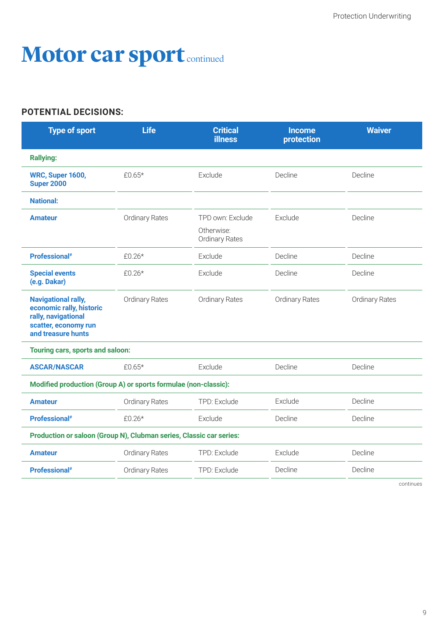### **Motor car sport** continued

#### **POTENTIAL DECISIONS:**

| <b>Type of sport</b>                                                                                                        | <b>Life</b>           | <b>Critical</b><br><b>illness</b>                       | <b>Income</b><br>protection | <b>Waiver</b>  |
|-----------------------------------------------------------------------------------------------------------------------------|-----------------------|---------------------------------------------------------|-----------------------------|----------------|
| <b>Rallying:</b>                                                                                                            |                       |                                                         |                             |                |
| <b>WRC, Super 1600,</b><br><b>Super 2000</b>                                                                                | £0.65 $*$             | Exclude                                                 | Decline                     | Decline        |
| <b>National:</b>                                                                                                            |                       |                                                         |                             |                |
| <b>Amateur</b>                                                                                                              | <b>Ordinary Rates</b> | TPD own: Exclude<br>Otherwise:<br><b>Ordinary Rates</b> | Exclude                     | Decline        |
| Professional <sup>#</sup>                                                                                                   | $£0.26*$              | Exclude                                                 | Decline                     | Decline        |
| <b>Special events</b><br>(e.g. Dakar)                                                                                       | £0.26*                | Exclude                                                 | Decline                     | Decline        |
| <b>Navigational rally,</b><br>economic rally, historic<br>rally, navigational<br>scatter, economy run<br>and treasure hunts | Ordinary Rates        | <b>Ordinary Rates</b>                                   | Ordinary Rates              | Ordinary Rates |
| Touring cars, sports and saloon:                                                                                            |                       |                                                         |                             |                |
| <b>ASCAR/NASCAR</b>                                                                                                         | £0.65 $*$             | Exclude                                                 | Decline                     | Decline        |
| Modified production (Group A) or sports formulae (non-classic):                                                             |                       |                                                         |                             |                |
| <b>Amateur</b>                                                                                                              | <b>Ordinary Rates</b> | TPD: Exclude                                            | Exclude                     | Decline        |
| Professional <sup>#</sup>                                                                                                   | $£0.26*$              | Exclude                                                 | Decline                     | Decline        |
| Production or saloon (Group N), Clubman series, Classic car series:                                                         |                       |                                                         |                             |                |
| <b>Amateur</b>                                                                                                              | <b>Ordinary Rates</b> | TPD: Exclude                                            | Exclude                     | Decline        |
| Professional <sup>#</sup>                                                                                                   | Ordinary Rates        | TPD: Exclude                                            | Decline                     | Decline        |

continues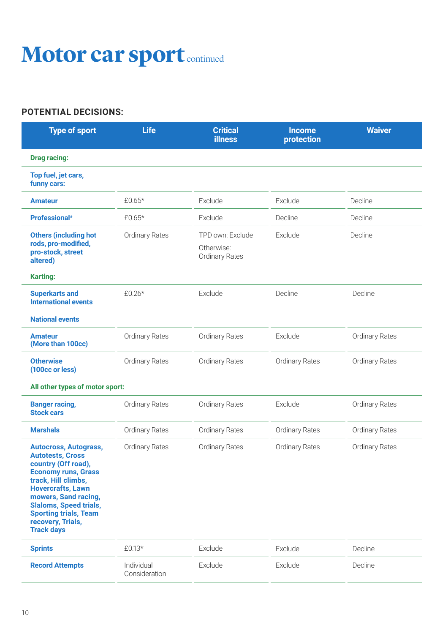### **Motor car sport** continued

#### **POTENTIAL DECISIONS:**

| <b>Type of sport</b>                                                                                                                                                                                                                                                                               | <b>Life</b>                 | <b>Critical</b><br><b>illness</b>                       | <b>Income</b><br>protection | <b>Waiver</b>         |
|----------------------------------------------------------------------------------------------------------------------------------------------------------------------------------------------------------------------------------------------------------------------------------------------------|-----------------------------|---------------------------------------------------------|-----------------------------|-----------------------|
| <b>Drag racing:</b>                                                                                                                                                                                                                                                                                |                             |                                                         |                             |                       |
| Top fuel, jet cars,<br>funny cars:                                                                                                                                                                                                                                                                 |                             |                                                         |                             |                       |
| <b>Amateur</b>                                                                                                                                                                                                                                                                                     | £0.65*                      | Exclude                                                 | Exclude                     | Decline               |
| Professional <sup>#</sup>                                                                                                                                                                                                                                                                          | £0.65*                      | Exclude                                                 | Decline                     | Decline               |
| <b>Others (including hot</b><br>rods, pro-modified,<br>pro-stock, street<br>altered)                                                                                                                                                                                                               | <b>Ordinary Rates</b>       | TPD own: Exclude<br>Otherwise:<br><b>Ordinary Rates</b> | Exclude                     | Decline               |
| <b>Karting:</b>                                                                                                                                                                                                                                                                                    |                             |                                                         |                             |                       |
| <b>Superkarts and</b><br><b>International events</b>                                                                                                                                                                                                                                               | £0.26*                      | Exclude                                                 | Decline                     | Decline               |
| <b>National events</b>                                                                                                                                                                                                                                                                             |                             |                                                         |                             |                       |
| <b>Amateur</b><br>(More than 100cc)                                                                                                                                                                                                                                                                | <b>Ordinary Rates</b>       | <b>Ordinary Rates</b>                                   | Exclude                     | <b>Ordinary Rates</b> |
| <b>Otherwise</b><br>(100cc or less)                                                                                                                                                                                                                                                                | <b>Ordinary Rates</b>       | <b>Ordinary Rates</b>                                   | <b>Ordinary Rates</b>       | <b>Ordinary Rates</b> |
| All other types of motor sport:                                                                                                                                                                                                                                                                    |                             |                                                         |                             |                       |
| <b>Banger racing,</b><br><b>Stock cars</b>                                                                                                                                                                                                                                                         | <b>Ordinary Rates</b>       | <b>Ordinary Rates</b>                                   | Exclude                     | <b>Ordinary Rates</b> |
| <b>Marshals</b>                                                                                                                                                                                                                                                                                    | <b>Ordinary Rates</b>       | <b>Ordinary Rates</b>                                   | <b>Ordinary Rates</b>       | <b>Ordinary Rates</b> |
| <b>Autocross, Autograss,</b><br><b>Autotests, Cross</b><br>country (Off road),<br><b>Economy runs, Grass</b><br>track, Hill climbs,<br><b>Hovercrafts, Lawn</b><br>mowers, Sand racing,<br><b>Slaloms, Speed trials,</b><br><b>Sporting trials, Team</b><br>recovery, Trials,<br><b>Track days</b> | <b>Ordinary Rates</b>       | <b>Ordinary Rates</b>                                   | <b>Ordinary Rates</b>       | <b>Ordinary Rates</b> |
| <b>Sprints</b>                                                                                                                                                                                                                                                                                     | £0.13*                      | Exclude                                                 | Exclude                     | Decline               |
| <b>Record Attempts</b>                                                                                                                                                                                                                                                                             | Individual<br>Consideration | Exclude                                                 | Exclude                     | Decline               |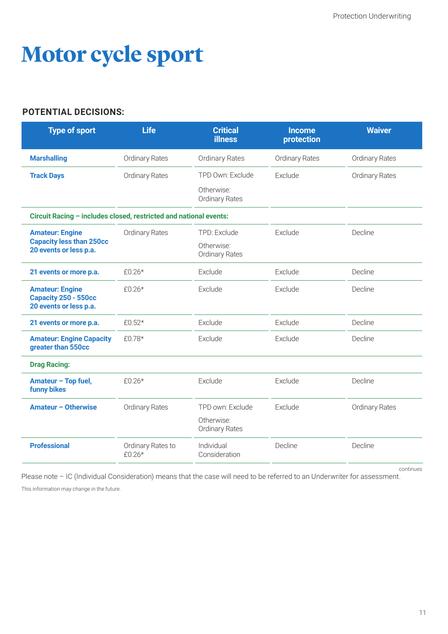### **Motor cycle sport**

#### **POTENTIAL DECISIONS:**

| <b>Type of sport</b>                                                     | <b>Life</b>                   | <b>Critical</b><br><b>illness</b>   | <b>Income</b><br>protection | <b>Waiver</b>         |
|--------------------------------------------------------------------------|-------------------------------|-------------------------------------|-----------------------------|-----------------------|
| <b>Marshalling</b>                                                       | Ordinary Rates                | <b>Ordinary Rates</b>               | <b>Ordinary Rates</b>       | <b>Ordinary Rates</b> |
| <b>Track Days</b>                                                        | <b>Ordinary Rates</b>         | TPD Own: Exclude                    | Exclude                     | <b>Ordinary Rates</b> |
|                                                                          |                               | Otherwise:<br><b>Ordinary Rates</b> |                             |                       |
| Circuit Racing - includes closed, restricted and national events:        |                               |                                     |                             |                       |
| <b>Amateur: Engine</b>                                                   | Ordinary Rates                | TPD: Exclude                        | Exclude                     | Decline               |
| <b>Capacity less than 250cc</b><br>20 events or less p.a.                |                               | Otherwise:<br>Ordinary Rates        |                             |                       |
| 21 events or more p.a.                                                   | £0.26*                        | Exclude                             | Exclude                     | Decline               |
| <b>Amateur: Engine</b><br>Capacity 250 - 550cc<br>20 events or less p.a. | £0.26*                        | Exclude                             | Exclude                     | Decline               |
| 21 events or more p.a.                                                   | £0.52 $*$                     | Exclude                             | Exclude                     | Decline               |
| <b>Amateur: Engine Capacity</b><br>greater than 550cc                    | £0.78*                        | Exclude                             | Exclude                     | Decline               |
| <b>Drag Racing:</b>                                                      |                               |                                     |                             |                       |
| Amateur - Top fuel,<br><b>funny bikes</b>                                | $£0.26*$                      | Exclude                             | Exclude                     | Decline               |
| Amateur - Otherwise                                                      | <b>Ordinary Rates</b>         | TPD own: Exclude                    | Exclude                     | <b>Ordinary Rates</b> |
|                                                                          |                               | Otherwise:<br>Ordinary Rates        |                             |                       |
| <b>Professional</b>                                                      | Ordinary Rates to<br>$£0.26*$ | Individual<br>Consideration         | Decline                     | Decline               |

continues

Please note - IC (Individual Consideration) means that the case will need to be referred to an Underwriter for assessment.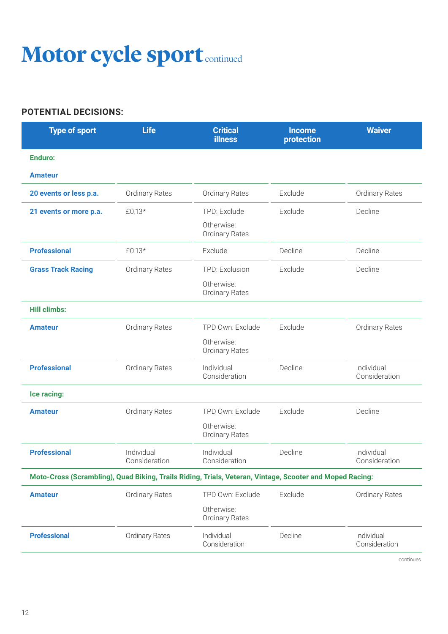### **Motor cycle sport** continued

#### **POTENTIAL DECISIONS:**

| <b>Type of sport</b>                                                                                     | <b>Life</b>                 | <b>Critical</b><br><b>illness</b>   | <b>Income</b><br>protection | <b>Waiver</b>               |
|----------------------------------------------------------------------------------------------------------|-----------------------------|-------------------------------------|-----------------------------|-----------------------------|
| <b>Enduro:</b>                                                                                           |                             |                                     |                             |                             |
| <b>Amateur</b>                                                                                           |                             |                                     |                             |                             |
| 20 events or less p.a.                                                                                   | Ordinary Rates              | <b>Ordinary Rates</b>               | Exclude                     | <b>Ordinary Rates</b>       |
| 21 events or more p.a.                                                                                   | £0.13*                      | TPD: Exclude                        | Exclude                     | Decline                     |
|                                                                                                          |                             | Otherwise:<br>Ordinary Rates        |                             |                             |
| <b>Professional</b>                                                                                      | £0.13*                      | Exclude                             | Decline                     | Decline                     |
| <b>Grass Track Racing</b>                                                                                | <b>Ordinary Rates</b>       | TPD: Exclusion                      | Exclude                     | Decline                     |
|                                                                                                          |                             | Otherwise:<br><b>Ordinary Rates</b> |                             |                             |
| <b>Hill climbs:</b>                                                                                      |                             |                                     |                             |                             |
| <b>Amateur</b>                                                                                           | <b>Ordinary Rates</b>       | TPD Own: Exclude                    | Exclude                     | <b>Ordinary Rates</b>       |
|                                                                                                          |                             | Otherwise:<br><b>Ordinary Rates</b> |                             |                             |
| <b>Professional</b>                                                                                      | Ordinary Rates              | Individual<br>Consideration         | Decline                     | Individual<br>Consideration |
| Ice racing:                                                                                              |                             |                                     |                             |                             |
| <b>Amateur</b>                                                                                           | <b>Ordinary Rates</b>       | TPD Own: Exclude                    | Exclude                     | Decline                     |
|                                                                                                          |                             | Otherwise:<br><b>Ordinary Rates</b> |                             |                             |
| <b>Professional</b>                                                                                      | Individual<br>Consideration | Individual<br>Consideration         | Decline                     | Individual<br>Consideration |
| Moto-Cross (Scrambling), Quad Biking, Trails Riding, Trials, Veteran, Vintage, Scooter and Moped Racing: |                             |                                     |                             |                             |
| <b>Amateur</b>                                                                                           | <b>Ordinary Rates</b>       | TPD Own: Exclude                    | Exclude                     | <b>Ordinary Rates</b>       |
|                                                                                                          |                             | Otherwise:<br><b>Ordinary Rates</b> |                             |                             |
| <b>Professional</b>                                                                                      | <b>Ordinary Rates</b>       | Individual<br>Consideration         | Decline                     | Individual<br>Consideration |

continues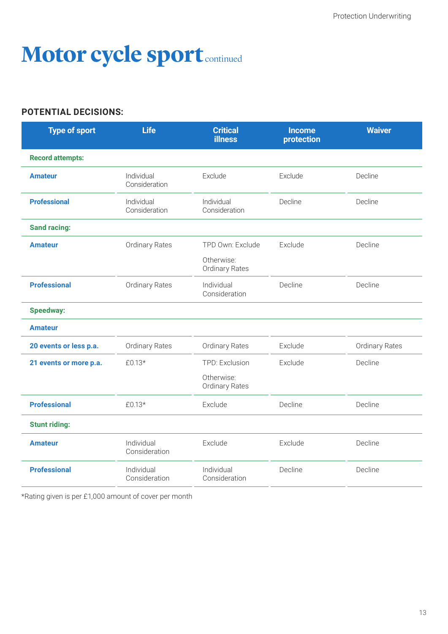### **Motor cycle sport** continued

#### **POTENTIAL DECISIONS:**

| <b>Type of sport</b>    | <b>Life</b>                 | <b>Critical</b><br><b>illness</b>   | <b>Income</b><br>protection | <b>Waiver</b>  |
|-------------------------|-----------------------------|-------------------------------------|-----------------------------|----------------|
| <b>Record attempts:</b> |                             |                                     |                             |                |
| <b>Amateur</b>          | Individual<br>Consideration | Exclude                             | Exclude                     | Decline        |
| <b>Professional</b>     | Individual<br>Consideration | Individual<br>Consideration         | Decline                     | Decline        |
| <b>Sand racing:</b>     |                             |                                     |                             |                |
| <b>Amateur</b>          | Ordinary Rates              | TPD Own: Exclude                    | Exclude                     | Decline        |
|                         |                             | Otherwise:<br><b>Ordinary Rates</b> |                             |                |
| <b>Professional</b>     | Ordinary Rates              | Individual<br>Consideration         | Decline                     | Decline        |
| <b>Speedway:</b>        |                             |                                     |                             |                |
| <b>Amateur</b>          |                             |                                     |                             |                |
| 20 events or less p.a.  | Ordinary Rates              | <b>Ordinary Rates</b>               | Exclude                     | Ordinary Rates |
| 21 events or more p.a.  | £0.13*                      | TPD: Exclusion                      | Exclude                     | Decline        |
|                         |                             | Otherwise:<br>Ordinary Rates        |                             |                |
| <b>Professional</b>     | £0.13*                      | Exclude                             | Decline                     | Decline        |
| <b>Stunt riding:</b>    |                             |                                     |                             |                |
| <b>Amateur</b>          | Individual<br>Consideration | Exclude                             | Exclude                     | Decline        |
| <b>Professional</b>     | Individual<br>Consideration | Individual<br>Consideration         | Decline                     | Decline        |

\*Rating given is per £1,000 amount of cover per month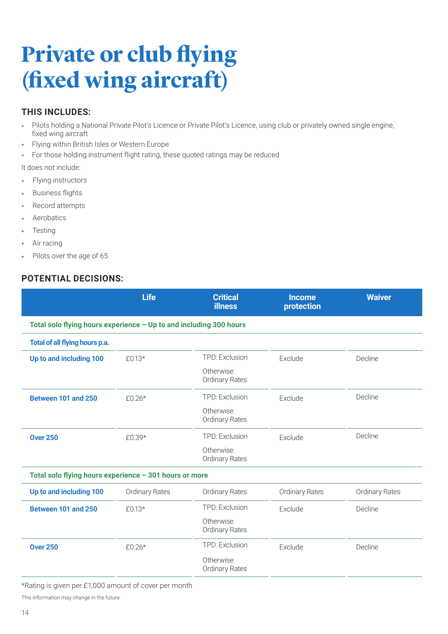### **Private or club flying (fixed wing aircraft)**

#### **THIS INCLUDES:**

- Pilots holding a National Private Pilot's Licence or Private Pilot's Licence, using club or privately owned single engine, fixed wing aircraft
- Flying within British Isles or Western Europe
- For those holding instrument flight rating, these quoted ratings may be reduced

It does not include:

- Flying instructors
- Business flights
- Record attempts
- Aerobatics
- Testing
- Air racing
- Pilots over the age of 65

#### **POTENTIAL DECISIONS:**

|                                                                    | <b>Life</b>           | <b>Critical</b><br><b>illness</b>   | <b>Income</b><br>protection | <b>Waiver</b>  |  |  |  |
|--------------------------------------------------------------------|-----------------------|-------------------------------------|-----------------------------|----------------|--|--|--|
| Total solo flying hours experience - Up to and including 300 hours |                       |                                     |                             |                |  |  |  |
| Total of all flying hours p.a.                                     |                       |                                     |                             |                |  |  |  |
| Up to and including 100                                            | $£0.13*$              | TPD: Exclusion                      | Exclude                     | Decline        |  |  |  |
|                                                                    |                       | Otherwise:<br><b>Ordinary Rates</b> |                             |                |  |  |  |
| Between 101 and 250                                                | $£0.26*$              | <b>TPD: Exclusion</b>               | Exclude                     | Decline        |  |  |  |
|                                                                    |                       | Otherwise:<br><b>Ordinary Rates</b> |                             |                |  |  |  |
| <b>Over 250</b>                                                    | £0.39*                | <b>TPD: Exclusion</b>               | Exclude                     | Decline        |  |  |  |
|                                                                    |                       | Otherwise:<br><b>Ordinary Rates</b> |                             |                |  |  |  |
| Total solo flying hours experience - 301 hours or more             |                       |                                     |                             |                |  |  |  |
| Up to and including 100                                            | <b>Ordinary Rates</b> | <b>Ordinary Rates</b>               | <b>Ordinary Rates</b>       | Ordinary Rates |  |  |  |
| Between 101 and 250                                                | £0.13*                | TPD: Exclusion                      | Exclude                     | Decline        |  |  |  |
|                                                                    |                       | Otherwise:<br><b>Ordinary Rates</b> |                             |                |  |  |  |
| <b>Over 250</b>                                                    | $£0.26*$              | TPD: Exclusion                      | Exclude                     | Decline        |  |  |  |
|                                                                    |                       | Otherwise:<br>Ordinary Rates        |                             |                |  |  |  |

\*Rating is given per £1,000 amount of cover per month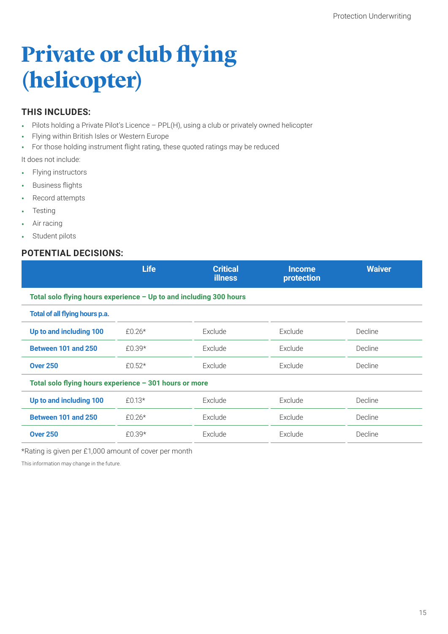### **Private or club flying (helicopter)**

#### **THIS INCLUDES:**

- Pilots holding a Private Pilot's Licence PPL(H), using a club or privately owned helicopter
- Flying within British Isles or Western Europe
- For those holding instrument flight rating, these quoted ratings may be reduced

It does not include:

- Flying instructors
- Business flights
- Record attempts
- **Testing**
- Air racing
- Student pilots

#### **POTENTIAL DECISIONS:**

| <b>Life</b>                                                        | <b>Critical</b><br><b>illness</b> | <b>Income</b><br>protection | <b>Waiver</b> |  |  |  |
|--------------------------------------------------------------------|-----------------------------------|-----------------------------|---------------|--|--|--|
| Total solo flying hours experience - Up to and including 300 hours |                                   |                             |               |  |  |  |
|                                                                    |                                   |                             |               |  |  |  |
| £0.26*                                                             | Exclude                           | Exclude                     | Decline       |  |  |  |
| £0.39 $*$                                                          | Exclude                           | Exclude                     | Decline       |  |  |  |
| £0.52 $*$                                                          | Exclude                           | Exclude                     | Decline       |  |  |  |
| Total solo flying hours experience - 301 hours or more             |                                   |                             |               |  |  |  |
| £0.13*                                                             | Exclude                           | Exclude                     | Decline       |  |  |  |
| £0.26 $*$                                                          | Exclude                           | Exclude                     | Decline       |  |  |  |
| £0.39*                                                             | Exclude                           | Exclude                     | Decline       |  |  |  |
|                                                                    |                                   |                             |               |  |  |  |

\*Rating is given per £1,000 amount of cover per month